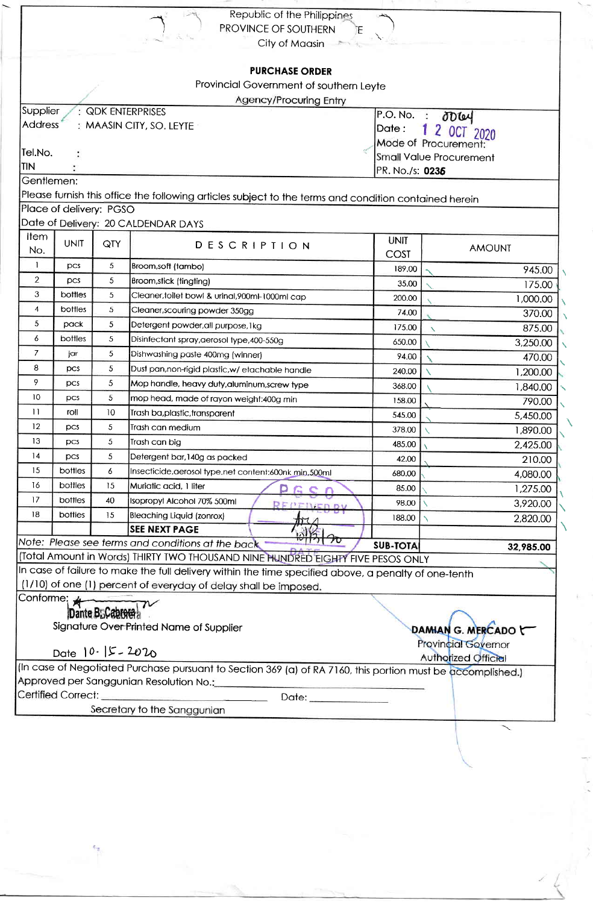|                 |                         |                             | Republic of the Philippines<br>PROVINCE OF SOUTHERN<br>ĨΕ                                                                                                                |                            |                                      |  |  |
|-----------------|-------------------------|-----------------------------|--------------------------------------------------------------------------------------------------------------------------------------------------------------------------|----------------------------|--------------------------------------|--|--|
|                 |                         |                             | City of Maasin                                                                                                                                                           |                            |                                      |  |  |
|                 |                         |                             |                                                                                                                                                                          |                            |                                      |  |  |
|                 |                         |                             | <b>PURCHASE ORDER</b>                                                                                                                                                    |                            |                                      |  |  |
|                 |                         |                             | Provincial Government of southern Leyte                                                                                                                                  |                            |                                      |  |  |
|                 |                         |                             | Agency/Procuring Entry                                                                                                                                                   |                            |                                      |  |  |
| Supplier        |                         |                             | : QDK ENTERPRISES                                                                                                                                                        |                            | $P.O.No.$ : $\partial D\omega$       |  |  |
| <b>Address</b>  |                         |                             | : MAASIN CITY, SO. LEYTE                                                                                                                                                 | 1 2 OCT 2020<br>Date:      |                                      |  |  |
|                 |                         |                             |                                                                                                                                                                          | Mode of Procurement:       |                                      |  |  |
| Tel.No.         |                         |                             |                                                                                                                                                                          |                            | Small Value Procurement              |  |  |
| <b>TIN</b>      |                         |                             |                                                                                                                                                                          | PR. No./s: 0236            |                                      |  |  |
| Gentlemen:      |                         |                             |                                                                                                                                                                          |                            |                                      |  |  |
|                 | Place of delivery: PGSO |                             | Please furnish this office the following articles subject to the terms and condition contained herein                                                                    |                            |                                      |  |  |
|                 |                         |                             | Date of Delivery: 20 CALDENDAR DAYS                                                                                                                                      |                            |                                      |  |  |
| Item            |                         |                             |                                                                                                                                                                          |                            |                                      |  |  |
| No.             | <b>UNIT</b>             | QTY                         | <b>DESCRIPTION</b>                                                                                                                                                       | <b>UNIT</b><br><b>COST</b> | <b>AMOUNT</b>                        |  |  |
| 1               | pcs                     | 5                           | Broom,soft (tambo)                                                                                                                                                       | 189.00                     | 945.00                               |  |  |
| $\overline{2}$  | pcs                     | 5                           | Broom, stick (tingting)                                                                                                                                                  | 35.00                      | 175.00                               |  |  |
| 3               | bottles                 | 5                           | Cleaner, toilet bowl & urinal, 900ml-1000ml cap                                                                                                                          | 200.00                     | 1,000.00                             |  |  |
| 4               | bottles                 | 5                           | Cleaner, scouring powder 350gg                                                                                                                                           | 74.00                      | 370.00                               |  |  |
| 5               | pack                    | 5                           | Detergent powder, all purpose, 1kg                                                                                                                                       | 175.00                     | 875.00<br>$\boldsymbol{\mathcal{N}}$ |  |  |
| 6               | bottles                 | 5                           | Disinfectant spray, aerosol type, 400-550g                                                                                                                               | 650.00                     | 3,250.00                             |  |  |
| $\overline{7}$  | jar                     | 5                           | Dishwashing paste 400mg (winner)                                                                                                                                         | 94.00                      | 470.00                               |  |  |
| 8               | pcs                     | 5                           | Dust pan, non-rigid plastic, w/ etachable handle                                                                                                                         | 240.00                     | 1,200.00                             |  |  |
| 9               | $_{\text{DCS}}$         | 5                           | Mop handle, heavy duty, aluminum, screw type                                                                                                                             | 368.00                     | 1,840.00                             |  |  |
| 10              | $_{\text{DCS}}$         | 5                           | mop head, made of rayon weight:400g min                                                                                                                                  | 158.00                     | 790.00                               |  |  |
| $\overline{11}$ | roll                    | 10                          | Trash ba,plastic,transparent                                                                                                                                             | 545.00                     | 5,450.00                             |  |  |
| 12              | <b>DCS</b>              | 5                           | Trash can medium                                                                                                                                                         | 378.00                     | 1,890.00                             |  |  |
| 13              | pcs                     | 5                           | Trash can big                                                                                                                                                            | 485.00 $\sqrt{ }$          | 2,425.00                             |  |  |
| 14              | pcs                     | 5                           | Detergent bar, 140g as packed                                                                                                                                            | 42.00                      | 210.00                               |  |  |
| 15              | bottles                 | 6                           | Insecticide, aerosol type, net content: 600nk min, 500ml                                                                                                                 | 680.00                     | 4,080.00                             |  |  |
| 16              | bottles                 | 15                          | Muriatic acid, 1 liter                                                                                                                                                   | 85.00                      | 1,275.00                             |  |  |
| 17              | bottles                 | 40                          | Isopropyl Alcohol 70% 500ml                                                                                                                                              | 98.00                      | 3,920.00                             |  |  |
| 18              | <b>bottles</b>          | 15                          | Bleaching Liquid (zonrox)                                                                                                                                                | 188.00                     | 2,820.00                             |  |  |
|                 |                         |                             | <b>SEE NEXT PAGE</b>                                                                                                                                                     |                            |                                      |  |  |
|                 |                         |                             | Note: Please see terms and conditions at the back                                                                                                                        | <b>SUB-TOTAL</b>           | 32,985.00                            |  |  |
|                 |                         |                             | (Total Amount in Words) THIRTY TWO THOUSAND NINE HUNDRED EIGHTY FIVE PESOS ONLY                                                                                          |                            |                                      |  |  |
|                 |                         |                             | In case of failure to make the full delivery within the time specified above, a penalty of one-tenth<br>(1/10) of one (1) percent of everyday of delay shall be imposed. |                            |                                      |  |  |
| Conforme; ★     |                         |                             |                                                                                                                                                                          |                            |                                      |  |  |
|                 |                         | Dante B <sub>D</sub> Cabred |                                                                                                                                                                          |                            |                                      |  |  |
|                 |                         |                             | Signature Over Printed Name of Supplier                                                                                                                                  |                            | DAMIAN G. MERCADO                    |  |  |
|                 |                         |                             |                                                                                                                                                                          |                            | <b>Provincial Governor</b>           |  |  |
|                 | Date $10.15 - 2020$     |                             |                                                                                                                                                                          |                            | Authorized Official                  |  |  |
|                 |                         |                             | (In case of Negotiated Purchase pursuant to Section 369 (a) of RA 7160, this portion must be accomplished.)                                                              |                            |                                      |  |  |
|                 |                         |                             | Approved per Sanggunian Resolution No.:                                                                                                                                  |                            |                                      |  |  |
|                 | Certified Correct:      |                             | Date: ______________                                                                                                                                                     |                            |                                      |  |  |
|                 |                         |                             | Secretary to the Sanggunian                                                                                                                                              |                            |                                      |  |  |

 $\frac{1}{2}$ 

9